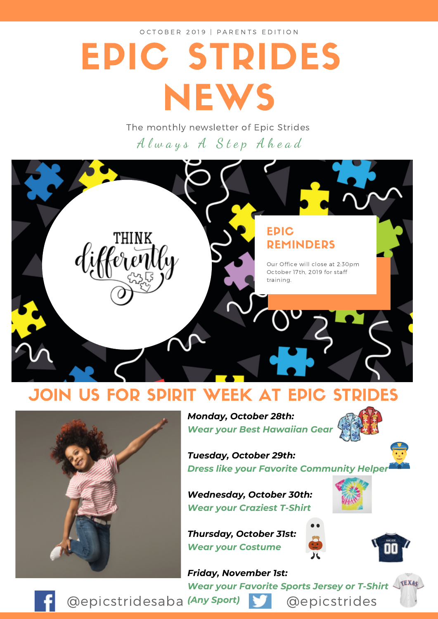OCTOBER 2019 | PARENTS EDITION

# EPIC STRIDES **NEWS**

The monthly newsletter of Epic Strides Always A Step Ahead



### JOIN US FOR SPIRIT WEEK AT EPIC STRIDES



*Monday, October 28th: Wear your Best Hawaiian Gear*

*Dress like your Favorite Community Helper*

*Wednesday, October 30th: Wear your Craziest T-Shirt*

*Thursday, October 31st: Wear your Costume*

*Tuesday, October 29th:*



*Friday, November 1st: Wear your Favorite Sports Jersey or T-Shirt*



**@epicstridesaba (Any Sport) comparison** @epicstrides